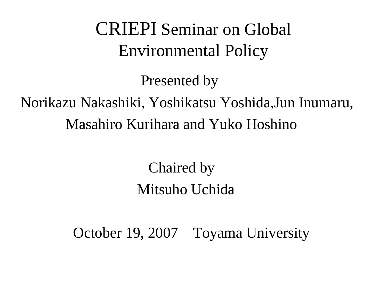## CRIEPI Seminar on Global Environmental Policy

Presented by

## Norikazu Nakashiki, Yoshikatsu Yoshida,Jun Inumaru, Masahiro Kurihara and Yuko Hoshino

Chaired by Mitsuho Uchida

October 19, 2007 Toyama University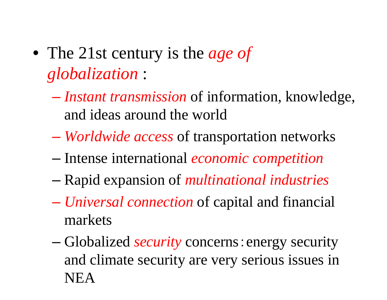- The 21st century is the *age of globalization* :
	- *Instant transmission* of information, knowledge, and ideas around the world
	- *Worldwide access* of transportation networks
	- Intense international *economic competition*
	- Rapid expansion of *multinational industries*
	- *Universal connection* of capital and financial markets
	- Globalized *security* concerns:energy security and climate security are very serious issues in NEA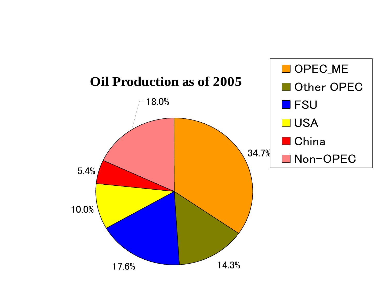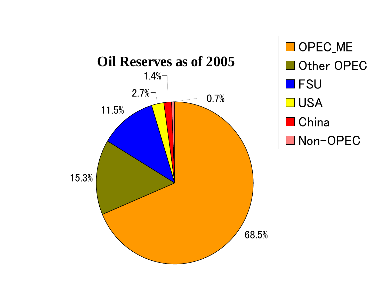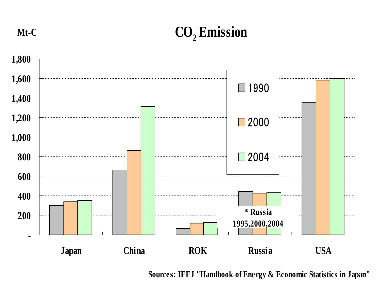**Mt-C**

**CO2 Emission**



**Sources: IEEJ "Handbook of Energy & Economic Statistics in Japan"**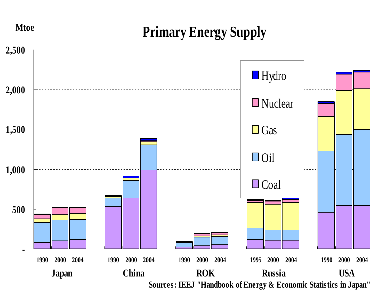## **Primary Energy Supply**



**Mtoe**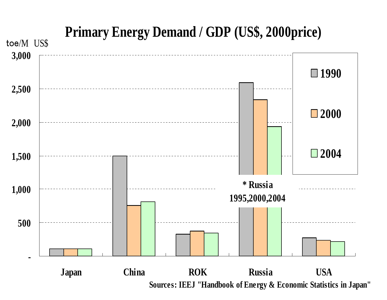

## US\$ **Primary Energy Demand / GDP (US\$, 2000price)**